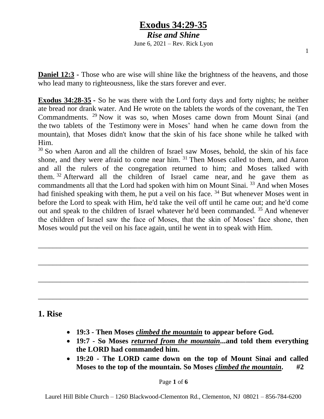*Rise and Shine* June 6, 2021 – Rev. Rick Lyon

1

**Daniel 12:3 -** Those who are wise will shine like the brightness of the heavens, and those who lead many to righteousness, like the stars forever and ever.

**Exodus 34:28-35 -** So he was there with the Lord forty days and forty nights; he neither ate bread nor drank water. And He wrote on the tablets the words of the covenant, the Ten Commandments. <sup>29</sup> Now it was so, when Moses came down from Mount Sinai (and the two tablets of the Testimony were in Moses' hand when he came down from the mountain), that Moses didn't know that the skin of his face shone while he talked with Him.

 $30$  So when Aaron and all the children of Israel saw Moses, behold, the skin of his face shone, and they were afraid to come near him. <sup>31</sup> Then Moses called to them, and Aaron and all the rulers of the congregation returned to him; and Moses talked with them. <sup>32</sup> Afterward all the children of Israel came near, and he gave them as commandments all that the Lord had spoken with him on Mount Sinai. <sup>33</sup> And when Moses had finished speaking with them, he put a veil on his face. <sup>34</sup> But whenever Moses went in before the Lord to speak with Him, he'd take the veil off until he came out; and he'd come out and speak to the children of Israel whatever he'd been commanded. <sup>35</sup> And whenever the children of Israel saw the face of Moses, that the skin of Moses' face shone, then Moses would put the veil on his face again, until he went in to speak with Him.

\_\_\_\_\_\_\_\_\_\_\_\_\_\_\_\_\_\_\_\_\_\_\_\_\_\_\_\_\_\_\_\_\_\_\_\_\_\_\_\_\_\_\_\_\_\_\_\_\_\_\_\_\_\_\_\_\_\_\_\_\_\_\_\_\_\_\_\_\_\_\_\_\_

\_\_\_\_\_\_\_\_\_\_\_\_\_\_\_\_\_\_\_\_\_\_\_\_\_\_\_\_\_\_\_\_\_\_\_\_\_\_\_\_\_\_\_\_\_\_\_\_\_\_\_\_\_\_\_\_\_\_\_\_\_\_\_\_\_\_\_\_\_\_\_\_\_

\_\_\_\_\_\_\_\_\_\_\_\_\_\_\_\_\_\_\_\_\_\_\_\_\_\_\_\_\_\_\_\_\_\_\_\_\_\_\_\_\_\_\_\_\_\_\_\_\_\_\_\_\_\_\_\_\_\_\_\_\_\_\_\_\_\_\_\_\_\_\_\_\_

\_\_\_\_\_\_\_\_\_\_\_\_\_\_\_\_\_\_\_\_\_\_\_\_\_\_\_\_\_\_\_\_\_\_\_\_\_\_\_\_\_\_\_\_\_\_\_\_\_\_\_\_\_\_\_\_\_\_\_\_\_\_\_\_\_\_\_\_\_\_\_\_\_

### **1. Rise**

- **19:3 - Then Moses** *climbed the mountain* **to appear before God.**
- **19:7 - So Moses** *returned from the mountain***...and told them everything the LORD had commanded him.**
- **19:20 - The LORD came down on the top of Mount Sinai and called Moses to the top of the mountain. So Moses** *climbed the mountain***. #2**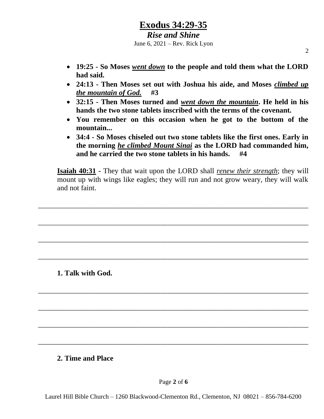#### *Rise and Shine* June 6, 2021 – Rev. Rick Lyon

- **19:25 - So Moses** *went down* **to the people and told them what the LORD had said.**
- **24:13 - Then Moses set out with Joshua his aide, and Moses** *climbed up the mountain of God.* **#3**
- **32:15 - Then Moses turned and** *went down the mountain***. He held in his hands the two stone tablets inscribed with the terms of the covenant.**
- **You remember on this occasion when he got to the bottom of the mountain...**
- **34:4 - So Moses chiseled out two stone tablets like the first ones. Early in the morning** *he climbed Mount Sinai* **as the LORD had commanded him, and he carried the two stone tablets in his hands. #4**

**Isaiah 40:31 -** They that wait upon the LORD shall *renew their strength*; they will mount up with wings like eagles; they will run and not grow weary, they will walk and not faint.

\_\_\_\_\_\_\_\_\_\_\_\_\_\_\_\_\_\_\_\_\_\_\_\_\_\_\_\_\_\_\_\_\_\_\_\_\_\_\_\_\_\_\_\_\_\_\_\_\_\_\_\_\_\_\_\_\_\_\_\_\_\_\_\_\_\_\_\_\_\_\_\_\_

\_\_\_\_\_\_\_\_\_\_\_\_\_\_\_\_\_\_\_\_\_\_\_\_\_\_\_\_\_\_\_\_\_\_\_\_\_\_\_\_\_\_\_\_\_\_\_\_\_\_\_\_\_\_\_\_\_\_\_\_\_\_\_\_\_\_\_\_\_\_\_\_\_

\_\_\_\_\_\_\_\_\_\_\_\_\_\_\_\_\_\_\_\_\_\_\_\_\_\_\_\_\_\_\_\_\_\_\_\_\_\_\_\_\_\_\_\_\_\_\_\_\_\_\_\_\_\_\_\_\_\_\_\_\_\_\_\_\_\_\_\_\_\_\_\_\_

\_\_\_\_\_\_\_\_\_\_\_\_\_\_\_\_\_\_\_\_\_\_\_\_\_\_\_\_\_\_\_\_\_\_\_\_\_\_\_\_\_\_\_\_\_\_\_\_\_\_\_\_\_\_\_\_\_\_\_\_\_\_\_\_\_\_\_\_\_\_\_\_\_

\_\_\_\_\_\_\_\_\_\_\_\_\_\_\_\_\_\_\_\_\_\_\_\_\_\_\_\_\_\_\_\_\_\_\_\_\_\_\_\_\_\_\_\_\_\_\_\_\_\_\_\_\_\_\_\_\_\_\_\_\_\_\_\_\_\_\_\_\_\_\_\_\_

\_\_\_\_\_\_\_\_\_\_\_\_\_\_\_\_\_\_\_\_\_\_\_\_\_\_\_\_\_\_\_\_\_\_\_\_\_\_\_\_\_\_\_\_\_\_\_\_\_\_\_\_\_\_\_\_\_\_\_\_\_\_\_\_\_\_\_\_\_\_\_\_\_

\_\_\_\_\_\_\_\_\_\_\_\_\_\_\_\_\_\_\_\_\_\_\_\_\_\_\_\_\_\_\_\_\_\_\_\_\_\_\_\_\_\_\_\_\_\_\_\_\_\_\_\_\_\_\_\_\_\_\_\_\_\_\_\_\_\_\_\_\_\_\_\_\_

\_\_\_\_\_\_\_\_\_\_\_\_\_\_\_\_\_\_\_\_\_\_\_\_\_\_\_\_\_\_\_\_\_\_\_\_\_\_\_\_\_\_\_\_\_\_\_\_\_\_\_\_\_\_\_\_\_\_\_\_\_\_\_\_\_\_\_\_\_\_\_\_\_

**1. Talk with God.**

#### **2. Time and Place**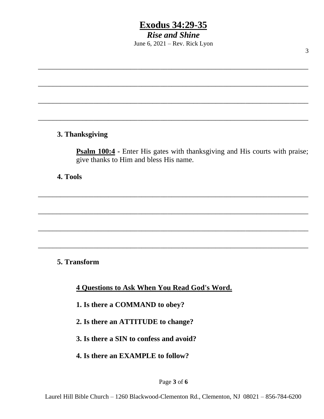*Rise and Shine* June 6, 2021 – Rev. Rick Lyon

\_\_\_\_\_\_\_\_\_\_\_\_\_\_\_\_\_\_\_\_\_\_\_\_\_\_\_\_\_\_\_\_\_\_\_\_\_\_\_\_\_\_\_\_\_\_\_\_\_\_\_\_\_\_\_\_\_\_\_\_\_\_\_\_\_\_\_\_\_\_\_\_\_

\_\_\_\_\_\_\_\_\_\_\_\_\_\_\_\_\_\_\_\_\_\_\_\_\_\_\_\_\_\_\_\_\_\_\_\_\_\_\_\_\_\_\_\_\_\_\_\_\_\_\_\_\_\_\_\_\_\_\_\_\_\_\_\_\_\_\_\_\_\_\_\_\_

\_\_\_\_\_\_\_\_\_\_\_\_\_\_\_\_\_\_\_\_\_\_\_\_\_\_\_\_\_\_\_\_\_\_\_\_\_\_\_\_\_\_\_\_\_\_\_\_\_\_\_\_\_\_\_\_\_\_\_\_\_\_\_\_\_\_\_\_\_\_\_\_\_

\_\_\_\_\_\_\_\_\_\_\_\_\_\_\_\_\_\_\_\_\_\_\_\_\_\_\_\_\_\_\_\_\_\_\_\_\_\_\_\_\_\_\_\_\_\_\_\_\_\_\_\_\_\_\_\_\_\_\_\_\_\_\_\_\_\_\_\_\_\_\_\_\_

\_\_\_\_\_\_\_\_\_\_\_\_\_\_\_\_\_\_\_\_\_\_\_\_\_\_\_\_\_\_\_\_\_\_\_\_\_\_\_\_\_\_\_\_\_\_\_\_\_\_\_\_\_\_\_\_\_\_\_\_\_\_\_\_\_\_\_\_\_\_\_\_\_

\_\_\_\_\_\_\_\_\_\_\_\_\_\_\_\_\_\_\_\_\_\_\_\_\_\_\_\_\_\_\_\_\_\_\_\_\_\_\_\_\_\_\_\_\_\_\_\_\_\_\_\_\_\_\_\_\_\_\_\_\_\_\_\_\_\_\_\_\_\_\_\_\_

\_\_\_\_\_\_\_\_\_\_\_\_\_\_\_\_\_\_\_\_\_\_\_\_\_\_\_\_\_\_\_\_\_\_\_\_\_\_\_\_\_\_\_\_\_\_\_\_\_\_\_\_\_\_\_\_\_\_\_\_\_\_\_\_\_\_\_\_\_\_\_\_\_

\_\_\_\_\_\_\_\_\_\_\_\_\_\_\_\_\_\_\_\_\_\_\_\_\_\_\_\_\_\_\_\_\_\_\_\_\_\_\_\_\_\_\_\_\_\_\_\_\_\_\_\_\_\_\_\_\_\_\_\_\_\_\_\_\_\_\_\_\_\_\_\_\_

#### **3. Thanksgiving**

**Psalm 100:4 -** Enter His gates with thanksgiving and His courts with praise; give thanks to Him and bless His name.

**4. Tools**

**5. Transform**

**4 Questions to Ask When You Read God's Word.**

**1. Is there a COMMAND to obey?**

**2. Is there an ATTITUDE to change?**

**3. Is there a SIN to confess and avoid?**

**4. Is there an EXAMPLE to follow?**

Page **3** of **6**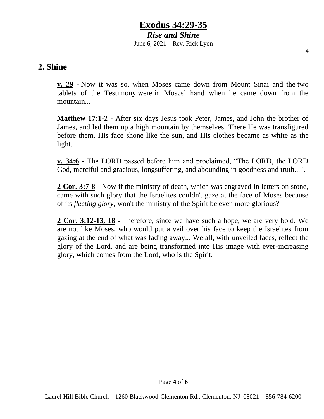*Rise and Shine* June 6, 2021 – Rev. Rick Lyon

### **2. Shine**

**v. 29 -** Now it was so, when Moses came down from Mount Sinai and the two tablets of the Testimony were in Moses' hand when he came down from the mountain...

**Matthew 17:1-2 -** After six days Jesus took Peter, James, and John the brother of James, and led them up a high mountain by themselves. There He was transfigured before them. His face shone like the sun, and His clothes became as white as the light.

**v. 34:6 -** The LORD passed before him and proclaimed, "The LORD, the LORD God, merciful and gracious, longsuffering, and abounding in goodness and truth...".

**2 Cor. 3:7-8 -** Now if the ministry of death, which was engraved in letters on stone, came with such glory that the Israelites couldn't gaze at the face of Moses because of its *fleeting glory*, won't the ministry of the Spirit be even more glorious?

**2 Cor. 3:12-13, 18 -** Therefore, since we have such a hope, we are very bold. We are not like Moses, who would put a veil over his face to keep the Israelites from gazing at the end of what was fading away... We all, with unveiled faces, reflect the glory of the Lord, and are being transformed into His image with ever-increasing glory, which comes from the Lord, who is the Spirit.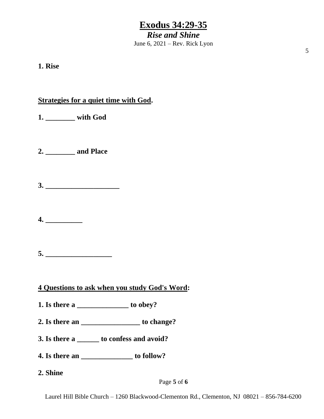*Rise and Shine* June 6, 2021 – Rev. Rick Lyon

**1. Rise**

### **Strategies for a quiet time with God.**

- **1. \_\_\_\_\_\_\_\_ with God**
- **2. \_\_\_\_\_\_\_\_ and Place**
- **3. \_\_\_\_\_\_\_\_\_\_\_\_\_\_\_\_\_\_\_\_**
- **4. \_\_\_\_\_\_\_\_\_\_**
- **5. \_\_\_\_\_\_\_\_\_\_\_\_\_\_\_\_\_\_**
- **4 Questions to ask when you study God's Word:**
- **1. Is there a \_\_\_\_\_\_\_\_\_\_\_\_\_\_ to obey?**
- **2. Is there an \_\_\_\_\_\_\_\_\_\_\_\_\_\_\_\_ to change?**
- **3. Is there a \_\_\_\_\_\_ to confess and avoid?**
- **4. Is there an \_\_\_\_\_\_\_\_\_\_\_\_\_\_ to follow?**
- **2. Shine**

Page **5** of **6**